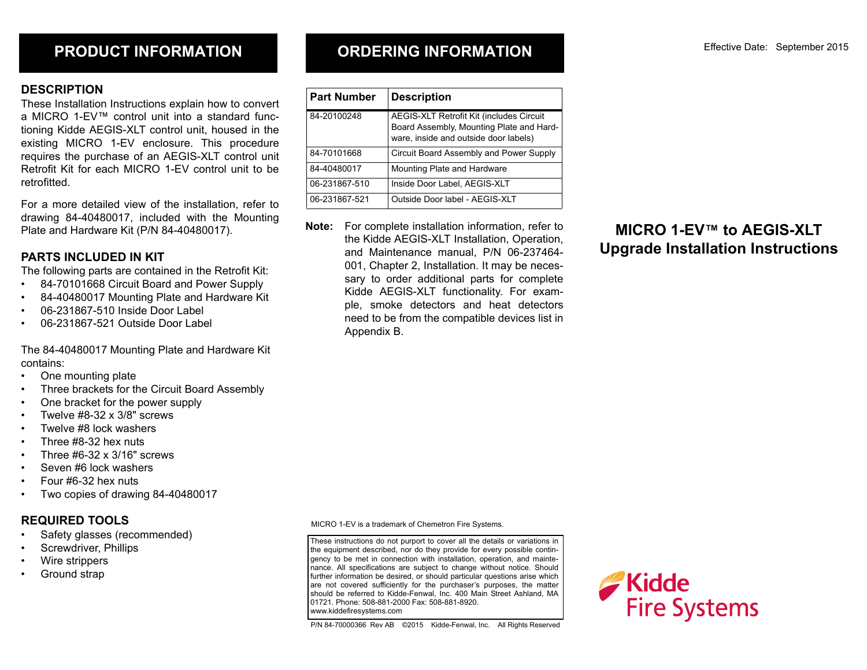## **PRODUCT INFORMATION**

### **DESCRIPTION**

These Installation Instructions explain how to convert a MICRO 1-EV™ control unit into a standard functioning Kidde AEGIS-XLT control unit, housed in the existing MICRO 1-EV enclosure. This procedure requires the purchase of an AEGIS-XLT control unit Retrofit Kit for each MICRO 1-EV control unit to be retrofitted.

For a more detailed view of the installation, refer to drawing 84-40480017, included with the Mounting Plate and Hardware Kit (P/N 84-40480017).

## **PARTS INCLUDED IN KIT**

The following parts are contained in the Retrofit Kit:

- 84-70101668 Circuit Board and Power Supply
- 84-40480017 Mounting Plate and Hardware Kit
- 06-231867-510 Inside Door Label
- 06-231867-521 Outside Door Label

The 84-40480017 Mounting Plate and Hardware Kit contains:

- One mounting plate
- Three brackets for the Circuit Board Assembly
- One bracket for the power supply
- Twelve  $#8-32 \times 3/8"$  screws
- Twelve #8 lock washers
- Three #8-32 hex nuts
- Three #6-32 x 3/16" screws
- Seven #6 lock washers
- Four #6-32 hex nuts
- Two copies of drawing 84-40480017

## **REQUIRED TOOLS**

- Safety glasses (recommended)
- Screwdriver, Phillips
- Wire strippers
- Ground strap

**ORDERING INFORMATION**

| <b>Part Number</b> | <b>Description</b>                                                                                                            |
|--------------------|-------------------------------------------------------------------------------------------------------------------------------|
| 84-20100248        | AEGIS-XLT Retrofit Kit (includes Circuit<br>Board Assembly, Mounting Plate and Hard-<br>ware, inside and outside door labels) |
| 84-70101668        | Circuit Board Assembly and Power Supply                                                                                       |
| 84-40480017        | Mounting Plate and Hardware                                                                                                   |
| 06-231867-510      | Inside Door Label, AEGIS-XLT                                                                                                  |
| 06-231867-521      | Outside Door label - AEGIS-XLT                                                                                                |

**Note:** For complete installation information, refer to the Kidde AEGIS-XLT Installation, Operation, and Maintenance manual, P/N 06-237464- 001, Chapter 2, Installation. It may be necessary to order additional parts for complete Kidde AEGIS-XLT functionality. For example, smoke detectors and heat detectors need to be from the compatible devices list in Appendix B.

# **MICRO 1-EV™ to AEGIS-XLT Upgrade Installation Instructions**

MICRO 1-EV is a trademark of Chemetron Fire Systems.

These instructions do not purport to cover all the details or variations in the equipment described, nor do they provide for every possible contingency to be met in connection with installation, operation, and maintenance. All specifications are subject to change without notice. Should further information be desired, or should particular questions arise which are not covered sufficiently for the purchaser's purposes, the matter should be referred to Kidde-Fenwal, Inc. 400 Main Street Ashland, MA 01721. Phone: 508-881-2000 Fax: 508-881-8920. www.kiddefiresystems.com

P/N 84-70000366 Rev AB ©2015 Kidde-Fenwal, Inc. All Rights Reserved